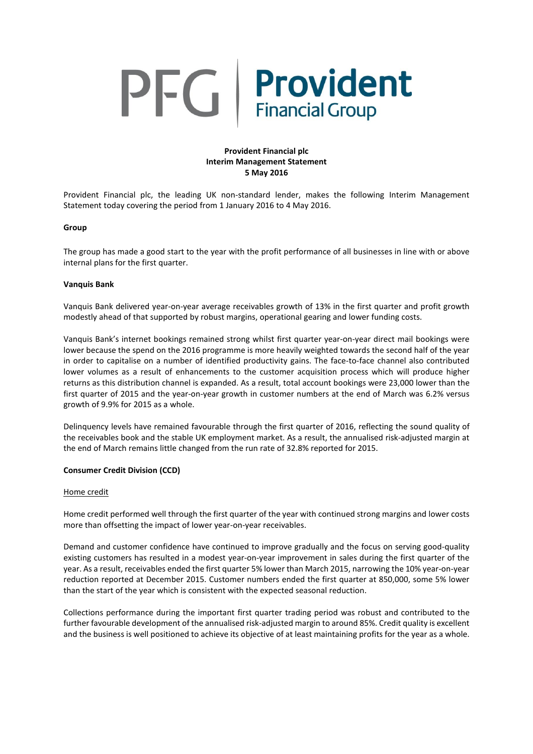# PFG Provident

## **Provident Financial plc Interim Management Statement 5 May 2016**

Provident Financial plc, the leading UK non-standard lender, makes the following Interim Management Statement today covering the period from 1 January 2016 to 4 May 2016.

#### **Group**

The group has made a good start to the year with the profit performance of all businesses in line with or above internal plans for the first quarter.

#### **Vanquis Bank**

Vanquis Bank delivered year-on-year average receivables growth of 13% in the first quarter and profit growth modestly ahead of that supported by robust margins, operational gearing and lower funding costs.

Vanquis Bank's internet bookings remained strong whilst first quarter year-on-year direct mail bookings were lower because the spend on the 2016 programme is more heavily weighted towards the second half of the year in order to capitalise on a number of identified productivity gains. The face-to-face channel also contributed lower volumes as a result of enhancements to the customer acquisition process which will produce higher returns as this distribution channel is expanded. As a result, total account bookings were 23,000 lower than the first quarter of 2015 and the year-on-year growth in customer numbers at the end of March was 6.2% versus growth of 9.9% for 2015 as a whole.

Delinquency levels have remained favourable through the first quarter of 2016, reflecting the sound quality of the receivables book and the stable UK employment market. As a result, the annualised risk-adjusted margin at the end of March remains little changed from the run rate of 32.8% reported for 2015.

#### **Consumer Credit Division (CCD)**

#### Home credit

Home credit performed well through the first quarter of the year with continued strong margins and lower costs more than offsetting the impact of lower year-on-year receivables.

Demand and customer confidence have continued to improve gradually and the focus on serving good-quality existing customers has resulted in a modest year-on-year improvement in sales during the first quarter of the year. As a result, receivables ended the first quarter 5% lower than March 2015, narrowing the 10% year-on-year reduction reported at December 2015. Customer numbers ended the first quarter at 850,000, some 5% lower than the start of the year which is consistent with the expected seasonal reduction.

Collections performance during the important first quarter trading period was robust and contributed to the further favourable development of the annualised risk-adjusted margin to around 85%. Credit quality is excellent and the business is well positioned to achieve its objective of at least maintaining profits for the year as a whole.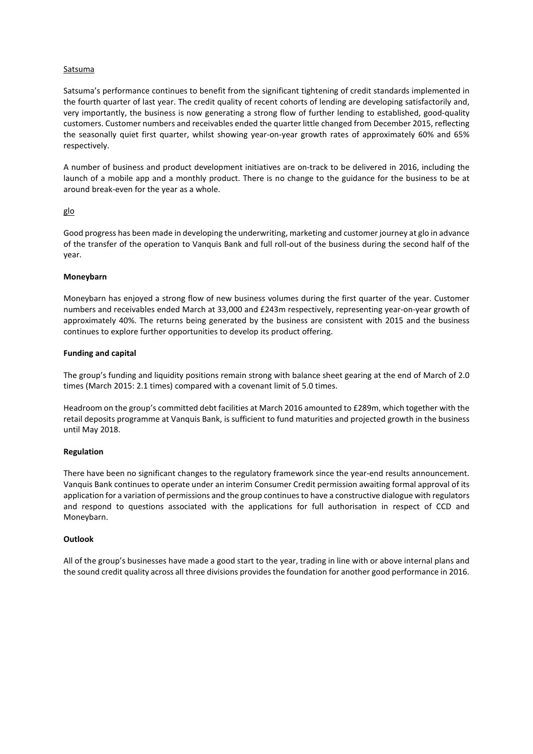### **Satsuma**

Satsuma's performance continues to benefit from the significant tightening of credit standards implemented in the fourth quarter of last year. The credit quality of recent cohorts of lending are developing satisfactorily and, very importantly, the business is now generating a strong flow of further lending to established, good-quality customers. Customer numbers and receivables ended the quarter little changed from December 2015, reflecting the seasonally quiet first quarter, whilst showing year-on-year growth rates of approximately 60% and 65% respectively.

A number of business and product development initiatives are on-track to be delivered in 2016, including the launch of a mobile app and a monthly product. There is no change to the guidance for the business to be at around break-even for the year as a whole.

#### glo

Good progress has been made in developing the underwriting, marketing and customer journey at glo in advance of the transfer of the operation to Vanquis Bank and full roll-out of the business during the second half of the year.

#### **Moneybarn**

Moneybarn has enjoyed a strong flow of new business volumes during the first quarter of the year. Customer numbers and receivables ended March at 33,000 and £243m respectively, representing year-on-year growth of approximately 40%. The returns being generated by the business are consistent with 2015 and the business continues to explore further opportunities to develop its product offering.

#### **Funding and capital**

The group's funding and liquidity positions remain strong with balance sheet gearing at the end of March of 2.0 times (March 2015: 2.1 times) compared with a covenant limit of 5.0 times.

Headroom on the group's committed debt facilities at March 2016 amounted to £289m, which together with the retail deposits programme at Vanquis Bank, is sufficient to fund maturities and projected growth in the business until May 2018.

#### **Regulation**

There have been no significant changes to the regulatory framework since the year-end results announcement. Vanquis Bank continues to operate under an interim Consumer Credit permission awaiting formal approval of its application for a variation of permissions and the group continuesto have a constructive dialogue with regulators and respond to questions associated with the applications for full authorisation in respect of CCD and Moneybarn.

## **Outlook**

All of the group's businesses have made a good start to the year, trading in line with or above internal plans and the sound credit quality across all three divisions provides the foundation for another good performance in 2016.